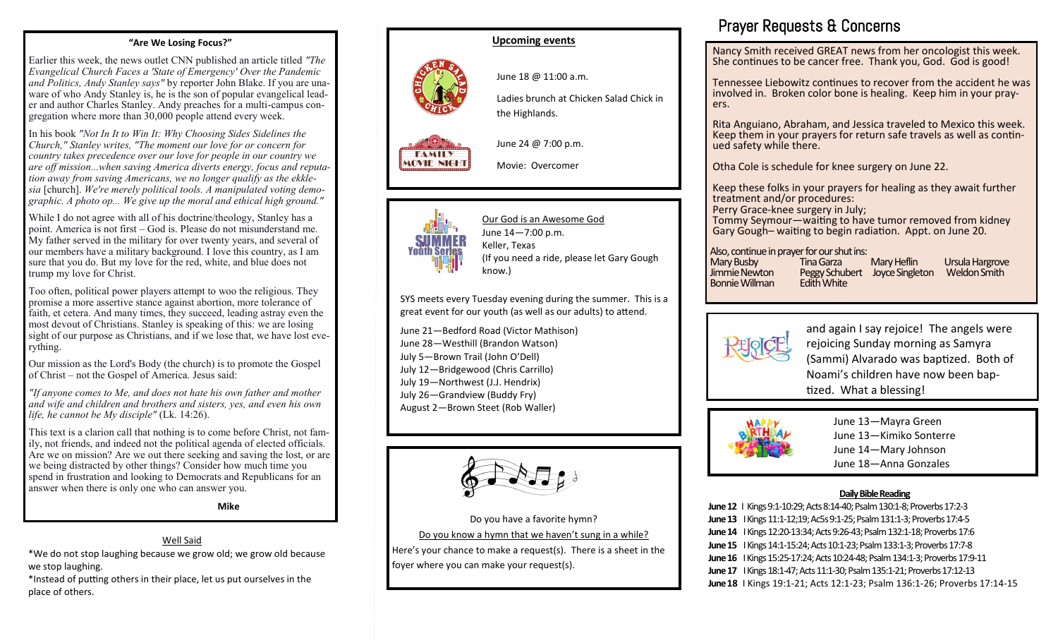#### **"Are We Losing Focus?"**

Earlier this week, the news outlet CNN published an article titled *"The Evangelical Church Faces a 'State of Emergency' Over the Pandemic and Politics, Andy Stanley says"* by reporter John Blake. If you are unaware of who Andy Stanley is, he is the son of popular evangelical leader and author Charles Stanley. Andy preaches for a multi-campus congregation where more than 30,000 people attend every week.

In his book *"Not In It to Win It: Why Choosing Sides Sidelines the Church," Stanley writes, "The moment our love for or concern for country takes precedence over our love for people in our country we are off mission...when saving America diverts energy, focus and reputation away from saving Americans, we no longer qualify as the ekklesia* [church]. *We're merely political tools. A manipulated voting demographic. A photo op... We give up the moral and ethical high ground."*

While I do not agree with all of his doctrine/theology, Stanley has a point. America is not first – God is. Please do not misunderstand me. My father served in the military for over twenty years, and several of our members have a military background. I love this country, as I am sure that you do. But my love for the red, white, and blue does not trump my love for Christ.

Too often, political power players attempt to woo the religious. They promise a more assertive stance against abortion, more tolerance of faith, et cetera. And many times, they succeed, leading astray even the most devout of Christians. Stanley is speaking of this: we are losing sight of our purpose as Christians, and if we lose that, we have lost everything.

Our mission as the Lord's Body (the church) is to promote the Gospel of Christ – not the Gospel of America. Jesus said:

*"If anyone comes to Me, and does not hate his own father and mother and wife and children and brothers and sisters, yes, and even his own life, he cannot be My disciple"* (Lk. 14:26).

This text is a clarion call that nothing is to come before Christ, not family, not friends, and indeed not the political agenda of elected officials. Are we on mission? Are we out there seeking and saving the lost, or are we being distracted by other things? Consider how much time you spend in frustration and looking to Democrats and Republicans for an answer when there is only one who can answer you.

**Mike**

#### Well Said

\*We do not stop laughing because we grow old; we grow old because we stop laughing.

\*Instead of putting others in their place, let us put ourselves in the place of others.

#### **Upcoming events**

June 18 @ 11:00 a.m.

Ladies brunch at Chicken Salad Chick in the Highlands.

June 24 @ 7:00 p.m.

Movie: Overcomer



**FAMILY MOVIE NIGHT** 

> Our God is an Awesome God June 14—7:00 p.m. Keller, Texas (If you need a ride, please let Gary Gough know.)

SYS meets every Tuesday evening during the summer. This is a great event for our youth (as well as our adults) to attend.

June 21—Bedford Road (Victor Mathison) June 28—Westhill (Brandon Watson) July 5—Brown Trail (John O'Dell) July 12—Bridgewood (Chris Carrillo) July 19—Northwest (J.J. Hendrix) July 26—Grandview (Buddy Fry) August 2—Brown Steet (Rob Waller)



Do you have a favorite hymn? Do you know a hymn that we haven't sung in a while? Here's your chance to make a request(s). There is a sheet in the

foyer where you can make your request(s).

## Prayer Requests & Concerns

Nancy Smith received GREAT news from her oncologist this week. She continues to be cancer free. Thank you, God. God is good!

Tennessee Liebowitz continues to recover from the accident he was involved in. Broken color bone is healing. Keep him in your prayers.

Rita Anguiano, Abraham, and Jessica traveled to Mexico this week. Keep them in your prayers for return safe travels as well as continued safety while there.

Otha Cole is schedule for knee surgery on June 22.

Keep these folks in your prayers for healing as they await further treatment and/or procedures:

Perry Grace-knee surgery in July;

Tommy Seymour—waiting to have tumor removed from kidney Gary Gough– waiting to begin radiation. Appt. on June 20.

## Also, continue in prayer for our shut ins:

Bonnie Willman

Mary Busby Tina Garza Mary Heflin Ursula Hargrove Peggy Schubert Joyce Singleton<br>Fdith White



and again I say rejoice! The angels were rejoicing Sunday morning as Samyra (Sammi) Alvarado was baptized. Both of Noami's children have now been baptized. What a blessing!



June 13—Mayra Green June 13—Kimiko Sonterre June 14—Mary Johnson June 18—Anna Gonzales

#### **Daily Bible Reading**

**June 12** I Kings 9:1-10:29; Acts 8:14-40; Psalm 130:1-8; Proverbs 17:2-3 **June 13** I Kings 11:1-12;19; Ac5s 9:1-25; Psalm 131:1-3; Proverbs 17:4-5 **June 14** I Kings 12:20-13:34; Acts 9:26-43; Psalm 132:1-18; Proverbs 17:6 **June 15** I Kings 14:1-15:24; Acts 10:1-23; Psalm 133:1-3; Proverbs 17:7-8 **June 16** I Kings 15:25-17:24; Acts 10:24-48; Psalm 134:1-3; Proverbs 17:9-11 **June 17** I Kings 18:1-47; Acts 11:1-30; Psalm 135:1-21; Proverbs 17:12-13 **June 18** I Kings 19:1-21; Acts 12:1-23; Psalm 136:1-26; Proverbs 17:14-15